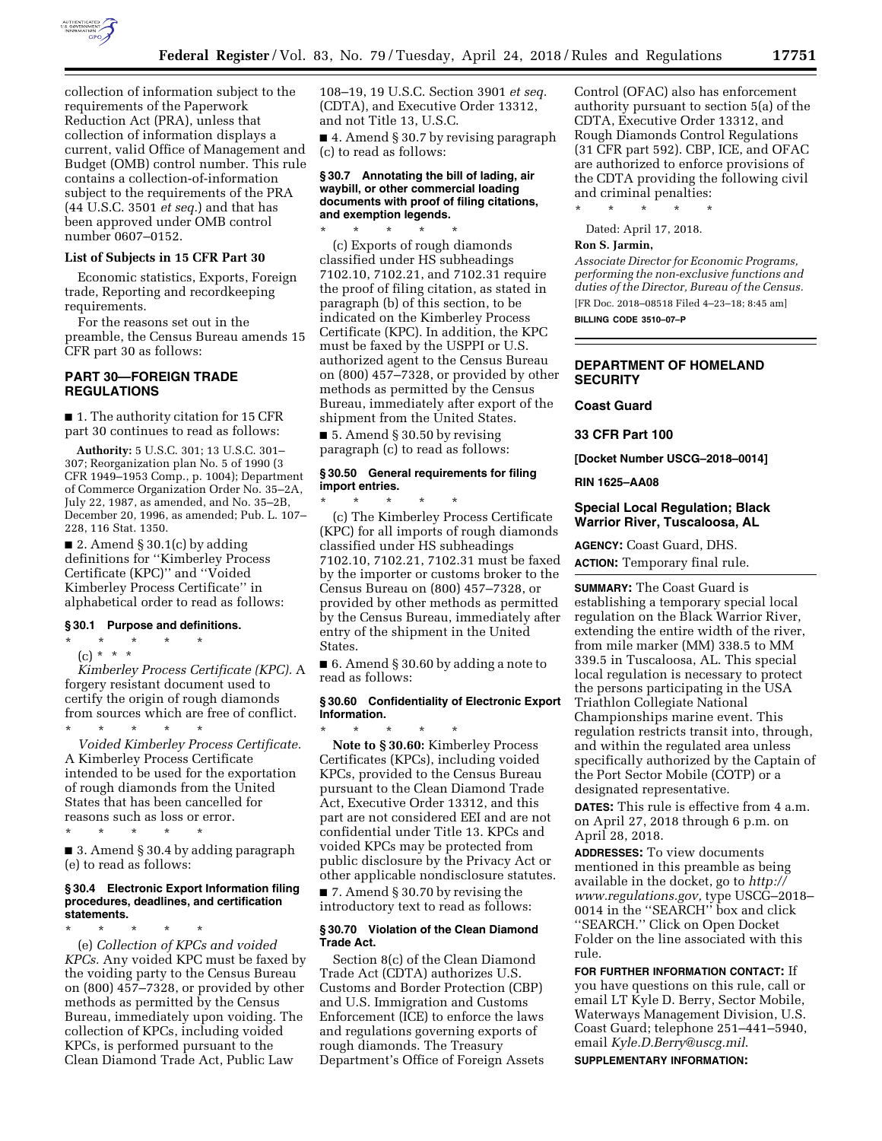

collection of information subject to the requirements of the Paperwork Reduction Act (PRA), unless that collection of information displays a current, valid Office of Management and Budget (OMB) control number. This rule contains a collection-of-information subject to the requirements of the PRA (44 U.S.C. 3501 *et seq.*) and that has been approved under OMB control number 0607–0152.

#### **List of Subjects in 15 CFR Part 30**

Economic statistics, Exports, Foreign trade, Reporting and recordkeeping requirements.

For the reasons set out in the preamble, the Census Bureau amends 15 CFR part 30 as follows:

# **PART 30—FOREIGN TRADE REGULATIONS**

■ 1. The authority citation for 15 CFR part 30 continues to read as follows:

**Authority:** 5 U.S.C. 301; 13 U.S.C. 301– 307; Reorganization plan No. 5 of 1990 (3 CFR 1949–1953 Comp., p. 1004); Department of Commerce Organization Order No. 35–2A, July 22, 1987, as amended, and No. 35–2B, December 20, 1996, as amended; Pub. L. 107– 228, 116 Stat. 1350.

■ 2. Amend § 30.1(c) by adding definitions for ''Kimberley Process Certificate (KPC)'' and ''Voided Kimberley Process Certificate'' in alphabetical order to read as follows:

#### **§ 30.1 Purpose and definitions.**

\* \* \* \* \*

(c) \* \* \* *Kimberley Process Certificate (KPC).* A forgery resistant document used to certify the origin of rough diamonds from sources which are free of conflict. \* \* \* \* \*

*Voided Kimberley Process Certificate.*  A Kimberley Process Certificate intended to be used for the exportation of rough diamonds from the United States that has been cancelled for reasons such as loss or error. \* \* \* \* \*

■ 3. Amend § 30.4 by adding paragraph (e) to read as follows:

#### **§ 30.4 Electronic Export Information filing procedures, deadlines, and certification statements.**

\* \* \* \* \* (e) *Collection of KPCs and voided KPCs.* Any voided KPC must be faxed by the voiding party to the Census Bureau on (800) 457–7328, or provided by other methods as permitted by the Census Bureau, immediately upon voiding. The collection of KPCs, including voided KPCs, is performed pursuant to the Clean Diamond Trade Act, Public Law

108–19, 19 U.S.C. Section 3901 *et seq.*  (CDTA), and Executive Order 13312, and not Title 13, U.S.C.

■ 4. Amend § 30.7 by revising paragraph (c) to read as follows:

## **§ 30.7 Annotating the bill of lading, air waybill, or other commercial loading documents with proof of filing citations, and exemption legends.**

\* \* \* \* \* (c) Exports of rough diamonds classified under HS subheadings 7102.10, 7102.21, and 7102.31 require the proof of filing citation, as stated in paragraph (b) of this section, to be indicated on the Kimberley Process Certificate (KPC). In addition, the KPC must be faxed by the USPPI or U.S. authorized agent to the Census Bureau on (800) 457–7328, or provided by other methods as permitted by the Census Bureau, immediately after export of the shipment from the United States.

■ 5. Amend § 30.50 by revising paragraph (c) to read as follows:

# **§ 30.50 General requirements for filing import entries.**

\* \* \* \* \* (c) The Kimberley Process Certificate (KPC) for all imports of rough diamonds classified under HS subheadings 7102.10, 7102.21, 7102.31 must be faxed by the importer or customs broker to the Census Bureau on (800) 457–7328, or provided by other methods as permitted by the Census Bureau, immediately after entry of the shipment in the United States.

■ 6. Amend § 30.60 by adding a note to read as follows:

## **§ 30.60 Confidentiality of Electronic Export Information.**

\* \* \* \* \* **Note to § 30.60:** Kimberley Process Certificates (KPCs), including voided KPCs, provided to the Census Bureau pursuant to the Clean Diamond Trade Act, Executive Order 13312, and this part are not considered EEI and are not confidential under Title 13. KPCs and voided KPCs may be protected from public disclosure by the Privacy Act or other applicable nondisclosure statutes.

■ 7. Amend § 30.70 by revising the introductory text to read as follows:

#### **§ 30.70 Violation of the Clean Diamond Trade Act.**

Section 8(c) of the Clean Diamond Trade Act (CDTA) authorizes U.S. Customs and Border Protection (CBP) and U.S. Immigration and Customs Enforcement (ICE) to enforce the laws and regulations governing exports of rough diamonds. The Treasury Department's Office of Foreign Assets Control (OFAC) also has enforcement authority pursuant to section 5(a) of the CDTA, Executive Order 13312, and Rough Diamonds Control Regulations (31 CFR part 592). CBP, ICE, and OFAC are authorized to enforce provisions of the CDTA providing the following civil and criminal penalties:

\* \* \* \* \*

Dated: April 17, 2018.

# **Ron S. Jarmin,**

*Associate Director for Economic Programs, performing the non-exclusive functions and duties of the Director, Bureau of the Census.*  [FR Doc. 2018–08518 Filed 4–23–18; 8:45 am]

**BILLING CODE 3510–07–P** 

# **DEPARTMENT OF HOMELAND SECURITY**

## **Coast Guard**

**33 CFR Part 100** 

**[Docket Number USCG–2018–0014]** 

# **RIN 1625–AA08**

# **Special Local Regulation; Black Warrior River, Tuscaloosa, AL**

**AGENCY:** Coast Guard, DHS.

**ACTION:** Temporary final rule.

**SUMMARY:** The Coast Guard is establishing a temporary special local regulation on the Black Warrior River, extending the entire width of the river, from mile marker (MM) 338.5 to MM 339.5 in Tuscaloosa, AL. This special local regulation is necessary to protect the persons participating in the USA Triathlon Collegiate National Championships marine event. This regulation restricts transit into, through, and within the regulated area unless specifically authorized by the Captain of the Port Sector Mobile (COTP) or a designated representative.

**DATES:** This rule is effective from 4 a.m. on April 27, 2018 through 6 p.m. on April 28, 2018.

**ADDRESSES:** To view documents mentioned in this preamble as being available in the docket, go to *[http://](http://www.regulations.gov) [www.regulations.gov,](http://www.regulations.gov)* type USCG–2018– 0014 in the ''SEARCH'' box and click ''SEARCH.'' Click on Open Docket Folder on the line associated with this rule.

**FOR FURTHER INFORMATION CONTACT:** If you have questions on this rule, call or email LT Kyle D. Berry, Sector Mobile, Waterways Management Division, U.S. Coast Guard; telephone 251–441–5940, email *[Kyle.D.Berry@uscg.mil](mailto:Kyle.D.Berry@uscg.mil)*. **SUPPLEMENTARY INFORMATION:**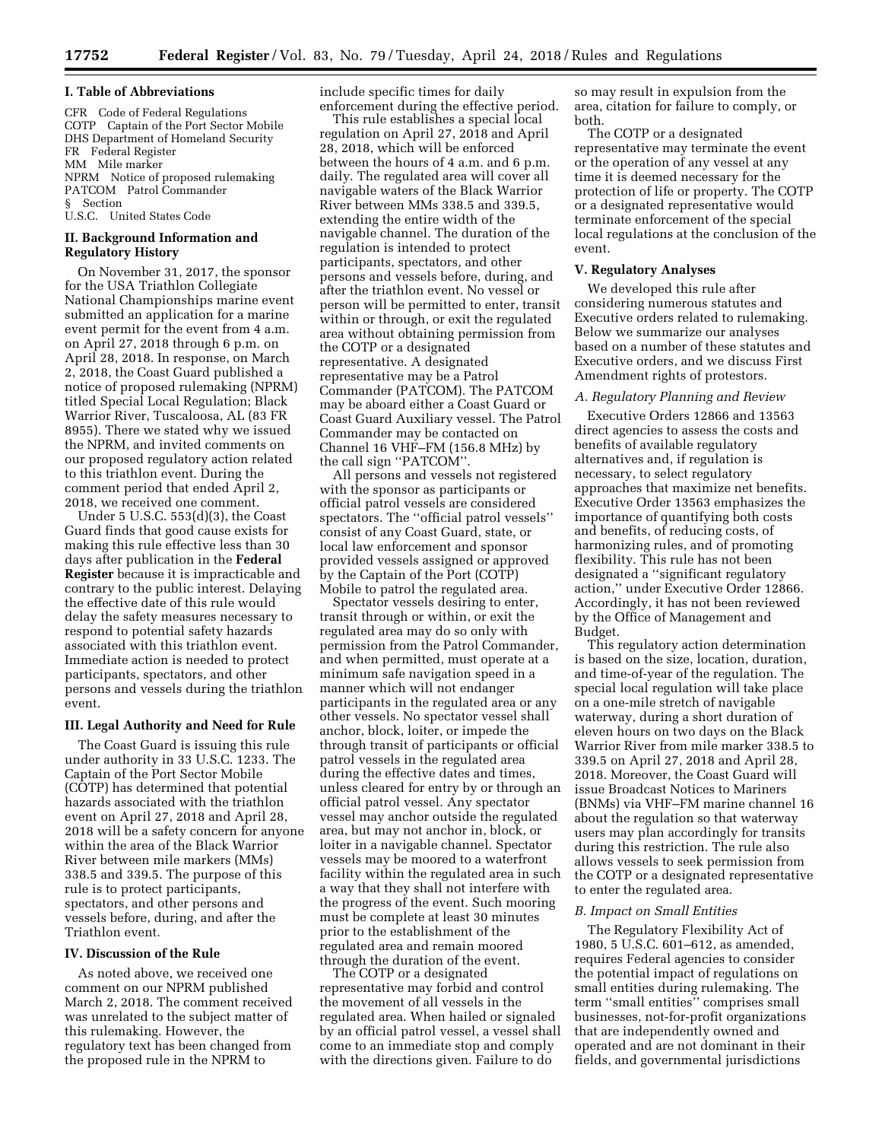## **I. Table of Abbreviations**

CFR Code of Federal Regulations COTP Captain of the Port Sector Mobile DHS Department of Homeland Security FR Federal Register MM Mile marker NPRM Notice of proposed rulemaking PATCOM Patrol Commander § Section U.S.C. United States Code

## **II. Background Information and Regulatory History**

On November 31, 2017, the sponsor for the USA Triathlon Collegiate National Championships marine event submitted an application for a marine event permit for the event from 4 a.m. on April 27, 2018 through 6 p.m. on April 28, 2018. In response, on March 2, 2018, the Coast Guard published a notice of proposed rulemaking (NPRM) titled Special Local Regulation; Black Warrior River, Tuscaloosa, AL (83 FR 8955). There we stated why we issued the NPRM, and invited comments on our proposed regulatory action related to this triathlon event. During the comment period that ended April 2, 2018, we received one comment.

Under 5 U.S.C. 553(d)(3), the Coast Guard finds that good cause exists for making this rule effective less than 30 days after publication in the **Federal Register** because it is impracticable and contrary to the public interest. Delaying the effective date of this rule would delay the safety measures necessary to respond to potential safety hazards associated with this triathlon event. Immediate action is needed to protect participants, spectators, and other persons and vessels during the triathlon event.

#### **III. Legal Authority and Need for Rule**

The Coast Guard is issuing this rule under authority in 33 U.S.C. 1233. The Captain of the Port Sector Mobile (COTP) has determined that potential hazards associated with the triathlon event on April 27, 2018 and April 28, 2018 will be a safety concern for anyone within the area of the Black Warrior River between mile markers (MMs) 338.5 and 339.5. The purpose of this rule is to protect participants, spectators, and other persons and vessels before, during, and after the Triathlon event.

## **IV. Discussion of the Rule**

As noted above, we received one comment on our NPRM published March 2, 2018. The comment received was unrelated to the subject matter of this rulemaking. However, the regulatory text has been changed from the proposed rule in the NPRM to

include specific times for daily enforcement during the effective period.

This rule establishes a special local regulation on April 27, 2018 and April 28, 2018, which will be enforced between the hours of 4 a.m. and 6 p.m. daily. The regulated area will cover all navigable waters of the Black Warrior River between MMs 338.5 and 339.5, extending the entire width of the navigable channel. The duration of the regulation is intended to protect participants, spectators, and other persons and vessels before, during, and after the triathlon event. No vessel or person will be permitted to enter, transit within or through, or exit the regulated area without obtaining permission from the COTP or a designated representative. A designated representative may be a Patrol Commander (PATCOM). The PATCOM may be aboard either a Coast Guard or Coast Guard Auxiliary vessel. The Patrol Commander may be contacted on Channel 16 VHF–FM (156.8 MHz) by the call sign ''PATCOM''.

All persons and vessels not registered with the sponsor as participants or official patrol vessels are considered spectators. The ''official patrol vessels'' consist of any Coast Guard, state, or local law enforcement and sponsor provided vessels assigned or approved by the Captain of the Port (COTP) Mobile to patrol the regulated area.

Spectator vessels desiring to enter, transit through or within, or exit the regulated area may do so only with permission from the Patrol Commander, and when permitted, must operate at a minimum safe navigation speed in a manner which will not endanger participants in the regulated area or any other vessels. No spectator vessel shall anchor, block, loiter, or impede the through transit of participants or official patrol vessels in the regulated area during the effective dates and times, unless cleared for entry by or through an official patrol vessel. Any spectator vessel may anchor outside the regulated area, but may not anchor in, block, or loiter in a navigable channel. Spectator vessels may be moored to a waterfront facility within the regulated area in such a way that they shall not interfere with the progress of the event. Such mooring must be complete at least 30 minutes prior to the establishment of the regulated area and remain moored through the duration of the event.

The COTP or a designated representative may forbid and control the movement of all vessels in the regulated area. When hailed or signaled by an official patrol vessel, a vessel shall come to an immediate stop and comply with the directions given. Failure to do

so may result in expulsion from the area, citation for failure to comply, or both.

The COTP or a designated representative may terminate the event or the operation of any vessel at any time it is deemed necessary for the protection of life or property. The COTP or a designated representative would terminate enforcement of the special local regulations at the conclusion of the event.

# **V. Regulatory Analyses**

We developed this rule after considering numerous statutes and Executive orders related to rulemaking. Below we summarize our analyses based on a number of these statutes and Executive orders, and we discuss First Amendment rights of protestors.

# *A. Regulatory Planning and Review*

Executive Orders 12866 and 13563 direct agencies to assess the costs and benefits of available regulatory alternatives and, if regulation is necessary, to select regulatory approaches that maximize net benefits. Executive Order 13563 emphasizes the importance of quantifying both costs and benefits, of reducing costs, of harmonizing rules, and of promoting flexibility. This rule has not been designated a ''significant regulatory action,'' under Executive Order 12866. Accordingly, it has not been reviewed by the Office of Management and Budget.

This regulatory action determination is based on the size, location, duration, and time-of-year of the regulation. The special local regulation will take place on a one-mile stretch of navigable waterway, during a short duration of eleven hours on two days on the Black Warrior River from mile marker 338.5 to 339.5 on April 27, 2018 and April 28, 2018. Moreover, the Coast Guard will issue Broadcast Notices to Mariners (BNMs) via VHF–FM marine channel 16 about the regulation so that waterway users may plan accordingly for transits during this restriction. The rule also allows vessels to seek permission from the COTP or a designated representative to enter the regulated area.

#### *B. Impact on Small Entities*

The Regulatory Flexibility Act of 1980, 5 U.S.C. 601–612, as amended, requires Federal agencies to consider the potential impact of regulations on small entities during rulemaking. The term ''small entities'' comprises small businesses, not-for-profit organizations that are independently owned and operated and are not dominant in their fields, and governmental jurisdictions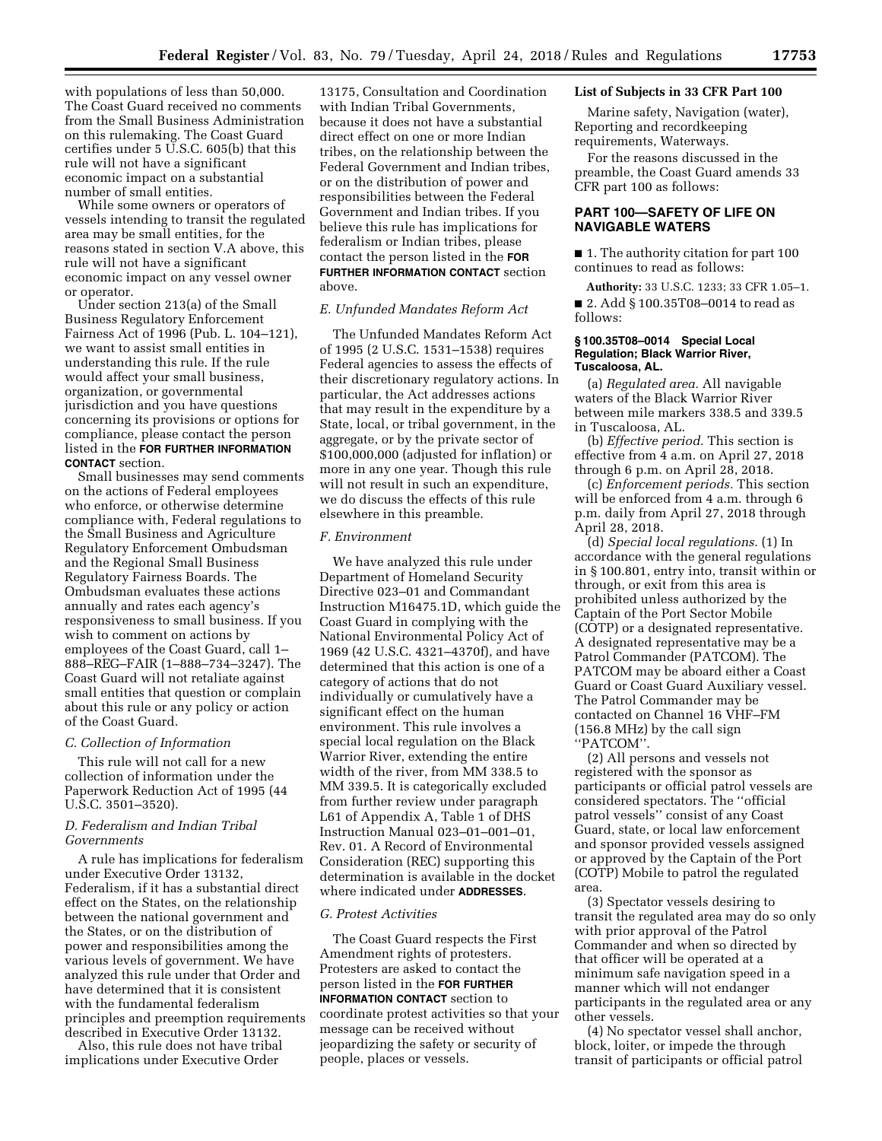with populations of less than 50,000. The Coast Guard received no comments from the Small Business Administration on this rulemaking. The Coast Guard certifies under  $5 \overline{U}$ .S.C. 605(b) that this rule will not have a significant economic impact on a substantial number of small entities.

While some owners or operators of vessels intending to transit the regulated area may be small entities, for the reasons stated in section V.A above, this rule will not have a significant economic impact on any vessel owner or operator.

Under section 213(a) of the Small Business Regulatory Enforcement Fairness Act of 1996 (Pub. L. 104–121), we want to assist small entities in understanding this rule. If the rule would affect your small business, organization, or governmental jurisdiction and you have questions concerning its provisions or options for compliance, please contact the person listed in the **FOR FURTHER INFORMATION CONTACT** section.

Small businesses may send comments on the actions of Federal employees who enforce, or otherwise determine compliance with, Federal regulations to the Small Business and Agriculture Regulatory Enforcement Ombudsman and the Regional Small Business Regulatory Fairness Boards. The Ombudsman evaluates these actions annually and rates each agency's responsiveness to small business. If you wish to comment on actions by employees of the Coast Guard, call 1– 888–REG–FAIR (1–888–734–3247). The Coast Guard will not retaliate against small entities that question or complain about this rule or any policy or action of the Coast Guard.

#### *C. Collection of Information*

This rule will not call for a new collection of information under the Paperwork Reduction Act of 1995 (44 U.S.C. 3501–3520).

# *D. Federalism and Indian Tribal Governments*

A rule has implications for federalism under Executive Order 13132, Federalism, if it has a substantial direct effect on the States, on the relationship between the national government and the States, or on the distribution of power and responsibilities among the various levels of government. We have analyzed this rule under that Order and have determined that it is consistent with the fundamental federalism principles and preemption requirements described in Executive Order 13132.

Also, this rule does not have tribal implications under Executive Order

13175, Consultation and Coordination with Indian Tribal Governments, because it does not have a substantial direct effect on one or more Indian tribes, on the relationship between the Federal Government and Indian tribes, or on the distribution of power and responsibilities between the Federal Government and Indian tribes. If you believe this rule has implications for federalism or Indian tribes, please contact the person listed in the **FOR FURTHER INFORMATION CONTACT** section above.

# *E. Unfunded Mandates Reform Act*

The Unfunded Mandates Reform Act of 1995 (2 U.S.C. 1531–1538) requires Federal agencies to assess the effects of their discretionary regulatory actions. In particular, the Act addresses actions that may result in the expenditure by a State, local, or tribal government, in the aggregate, or by the private sector of \$100,000,000 (adjusted for inflation) or more in any one year. Though this rule will not result in such an expenditure, we do discuss the effects of this rule elsewhere in this preamble.

## *F. Environment*

We have analyzed this rule under Department of Homeland Security Directive 023–01 and Commandant Instruction M16475.1D, which guide the Coast Guard in complying with the National Environmental Policy Act of 1969 (42 U.S.C. 4321–4370f), and have determined that this action is one of a category of actions that do not individually or cumulatively have a significant effect on the human environment. This rule involves a special local regulation on the Black Warrior River, extending the entire width of the river, from MM 338.5 to MM 339.5. It is categorically excluded from further review under paragraph L61 of Appendix A, Table 1 of DHS Instruction Manual 023–01–001–01, Rev. 01. A Record of Environmental Consideration (REC) supporting this determination is available in the docket where indicated under **ADDRESSES**.

### *G. Protest Activities*

The Coast Guard respects the First Amendment rights of protesters. Protesters are asked to contact the person listed in the **FOR FURTHER INFORMATION CONTACT** section to coordinate protest activities so that your message can be received without jeopardizing the safety or security of people, places or vessels.

## **List of Subjects in 33 CFR Part 100**

Marine safety, Navigation (water), Reporting and recordkeeping requirements, Waterways.

For the reasons discussed in the preamble, the Coast Guard amends 33 CFR part 100 as follows:

# **PART 100—SAFETY OF LIFE ON NAVIGABLE WATERS**

■ 1. The authority citation for part 100 continues to read as follows:

**Authority:** 33 U.S.C. 1233; 33 CFR 1.05–1. ■ 2. Add § 100.35T08-0014 to read as follows:

### **§ 100.35T08–0014 Special Local Regulation; Black Warrior River, Tuscaloosa, AL.**

(a) *Regulated area.* All navigable waters of the Black Warrior River between mile markers 338.5 and 339.5 in Tuscaloosa, AL.

(b) *Effective period.* This section is effective from 4 a.m. on April 27, 2018 through 6 p.m. on April 28, 2018.

(c) *Enforcement periods.* This section will be enforced from 4 a.m. through 6 p.m. daily from April 27, 2018 through April 28, 2018.

(d) *Special local regulations.* (1) In accordance with the general regulations in § 100.801, entry into, transit within or through, or exit from this area is prohibited unless authorized by the Captain of the Port Sector Mobile (COTP) or a designated representative. A designated representative may be a Patrol Commander (PATCOM). The PATCOM may be aboard either a Coast Guard or Coast Guard Auxiliary vessel. The Patrol Commander may be contacted on Channel 16 VHF–FM (156.8 MHz) by the call sign ''PATCOM''.

(2) All persons and vessels not registered with the sponsor as participants or official patrol vessels are considered spectators. The ''official patrol vessels'' consist of any Coast Guard, state, or local law enforcement and sponsor provided vessels assigned or approved by the Captain of the Port (COTP) Mobile to patrol the regulated area.

(3) Spectator vessels desiring to transit the regulated area may do so only with prior approval of the Patrol Commander and when so directed by that officer will be operated at a minimum safe navigation speed in a manner which will not endanger participants in the regulated area or any other vessels.

(4) No spectator vessel shall anchor, block, loiter, or impede the through transit of participants or official patrol